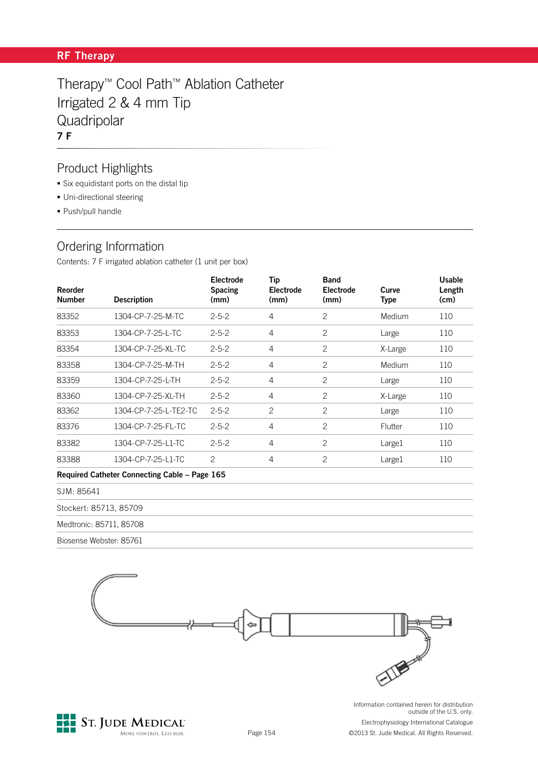### **RF Therapy**

Therapy™ Cool Path™ Ablation Catheter Irrigated 2 & 4 mm Tip **Quadripolar 7 F**

### Product Highlights

- Six equidistant ports on the distal tip
- **-** Uni-directional steering
- Push/pull handle

## Ordering Information

Contents: 7 F irrigated ablation catheter (1 unit per box)

| Reorder<br><b>Number</b> | <b>Description</b>                            | <b>Electrode</b><br><b>Spacing</b><br>(mm) | Tip<br><b>Electrode</b><br>(mm) | <b>Band</b><br><b>Electrode</b><br>(mm) | Curve<br><b>Type</b> | <b>Usable</b><br>Length<br>(cm) |
|--------------------------|-----------------------------------------------|--------------------------------------------|---------------------------------|-----------------------------------------|----------------------|---------------------------------|
| 83352                    | 1304-CP-7-25-M-TC                             | $2 - 5 - 2$                                | 4                               | 2                                       | Medium               | 110                             |
| 83353                    | 1304-CP-7-25-L-TC                             | $2 - 5 - 2$                                | $\overline{4}$                  | $\mathbf{2}$                            | Large                | 110                             |
| 83354                    | 1304-CP-7-25-XL-TC                            | $2 - 5 - 2$                                | 4                               | $\overline{c}$                          | X-Large              | 110                             |
| 83358                    | 1304-CP-7-25-M-TH                             | $2 - 5 - 2$                                | $\overline{4}$                  | $\overline{c}$                          | Medium               | 110                             |
| 83359                    | 1304-CP-7-25-L-TH                             | $2 - 5 - 2$                                | $\overline{4}$                  | $\overline{c}$                          | Large                | 110                             |
| 83360                    | 1304-CP-7-25-XL-TH                            | $2 - 5 - 2$                                | 4                               | $\overline{c}$                          | X-Large              | 110                             |
| 83362                    | 1304-CP-7-25-L-TE2-TC                         | $2 - 5 - 2$                                | $\overline{2}$                  | $\overline{c}$                          | Large                | 110                             |
| 83376                    | 1304-CP-7-25-FL-TC                            | $2 - 5 - 2$                                | 4                               | 2                                       | Flutter              | 110                             |
| 83382                    | 1304-CP-7-25-L1-TC                            | $2 - 5 - 2$                                | $\overline{4}$                  | $\overline{c}$                          | Large1               | 110                             |
| 83388                    | 1304-CP-7-25-L1-TC                            | $\overline{c}$                             | 4                               | 2                                       | Large1               | 110                             |
|                          | Required Catheter Connecting Cable – Page 165 |                                            |                                 |                                         |                      |                                 |

| SJM: 85641              |  |
|-------------------------|--|
| Stockert: 85713, 85709  |  |
| Medtronic: 85711, 85708 |  |
| Biosense Webster: 85761 |  |
|                         |  |



MORE CONTROL LESS RISK.

outside of the U.S. only. Electrophysiology International Catalogue

©2013 St. Jude Medical. All Rights Reserved.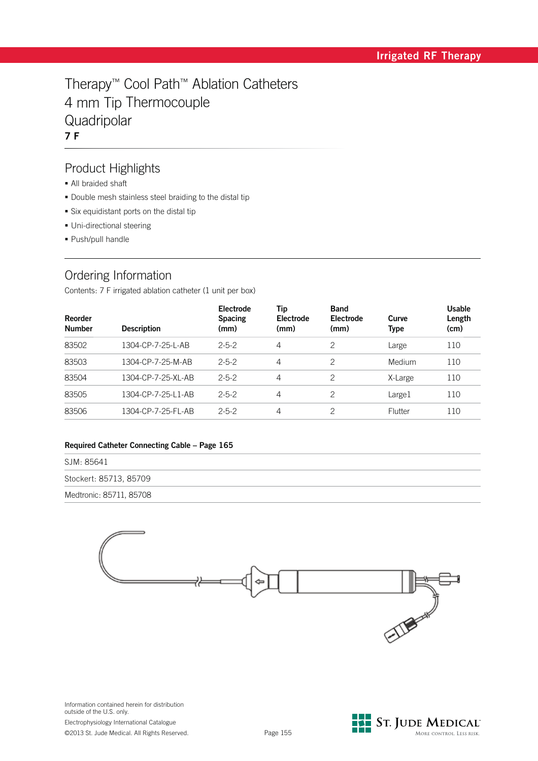# Therapy™ Cool Path™ Ablation Catheters 4 mm Tip Thermocouple Quadripolar **7 F**

### Product Highlights

- All braided shaft
- Double mesh stainless steel braiding to the distal tip
- Six equidistant ports on the distal tip
- · Uni-directional steering
- Push/pull handle

## Ordering Information

Contents: 7 F irrigated ablation catheter (1 unit per box)

| <b>Reorder</b><br><b>Number</b> | <b>Description</b> | Electrode<br><b>Spacing</b><br>(mm) | Tip<br><b>Electrode</b><br>(mm) | <b>Band</b><br>Electrode<br>(mm) | Curve<br>Type | <b>Usable</b><br>Length<br>(cm) |
|---------------------------------|--------------------|-------------------------------------|---------------------------------|----------------------------------|---------------|---------------------------------|
| 83502                           | 1304-CP-7-25-L-AB  | $2 - 5 - 2$                         | 4                               | 2                                | Large         | 110                             |
| 83503                           | 1304-CP-7-25-M-AB  | $2 - 5 - 2$                         | 4                               | 2                                | Medium        | 110                             |
| 83504                           | 1304-CP-7-25-XL-AB | $2 - 5 - 2$                         | 4                               | 2                                | X-Large       | 110                             |
| 83505                           | 1304-CP-7-25-L1-AB | $2 - 5 - 2$                         | 4                               | 2                                | Large1        | 110                             |
| 83506                           | 1304-CP-7-25-FL-AB | $2 - 5 - 2$                         | 4                               | 2                                | Flutter       | 110                             |

#### **Required Catheter Connecting Cable – Page 165**

| SJM: 85641              |  |  |  |
|-------------------------|--|--|--|
| Stockert: 85713, 85709  |  |  |  |
| Medtronic: 85711, 85708 |  |  |  |